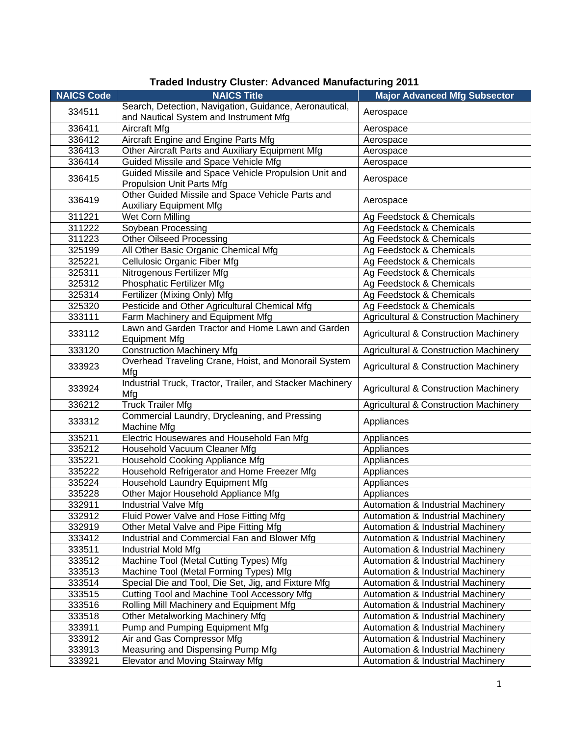| <b>NAICS Code</b> | <b>NAICS Title</b>                                        | <b>Major Advanced Mfg Subsector</b>              |
|-------------------|-----------------------------------------------------------|--------------------------------------------------|
|                   | Search, Detection, Navigation, Guidance, Aeronautical,    |                                                  |
| 334511            | and Nautical System and Instrument Mfg                    | Aerospace                                        |
| 336411            | Aircraft Mfg                                              | Aerospace                                        |
| 336412            | <b>Aircraft Engine and Engine Parts Mfg</b>               | Aerospace                                        |
| 336413            | Other Aircraft Parts and Auxiliary Equipment Mfg          | Aerospace                                        |
| 336414            | Guided Missile and Space Vehicle Mfg                      | Aerospace                                        |
| 336415            | Guided Missile and Space Vehicle Propulsion Unit and      |                                                  |
|                   | Propulsion Unit Parts Mfg                                 | Aerospace                                        |
| 336419            | Other Guided Missile and Space Vehicle Parts and          |                                                  |
|                   | <b>Auxiliary Equipment Mfg</b>                            | Aerospace                                        |
| 311221            | Wet Corn Milling                                          | Ag Feedstock & Chemicals                         |
| 311222            | Soybean Processing                                        | Ag Feedstock & Chemicals                         |
| 311223            | <b>Other Oilseed Processing</b>                           | Ag Feedstock & Chemicals                         |
| 325199            | All Other Basic Organic Chemical Mfg                      | Ag Feedstock & Chemicals                         |
| 325221            | Cellulosic Organic Fiber Mfg                              | Ag Feedstock & Chemicals                         |
| 325311            | Nitrogenous Fertilizer Mfg                                | Ag Feedstock & Chemicals                         |
| 325312            | Phosphatic Fertilizer Mfg                                 | Ag Feedstock & Chemicals                         |
| 325314            | Fertilizer (Mixing Only) Mfg                              | Ag Feedstock & Chemicals                         |
| 325320            | Pesticide and Other Agricultural Chemical Mfg             | Ag Feedstock & Chemicals                         |
| 333111            | Farm Machinery and Equipment Mfg                          | <b>Agricultural &amp; Construction Machinery</b> |
| 333112            | Lawn and Garden Tractor and Home Lawn and Garden          |                                                  |
|                   | <b>Equipment Mfg</b>                                      | <b>Agricultural &amp; Construction Machinery</b> |
| 333120            | <b>Construction Machinery Mfg</b>                         | <b>Agricultural &amp; Construction Machinery</b> |
| 333923            | Overhead Traveling Crane, Hoist, and Monorail System      | <b>Agricultural &amp; Construction Machinery</b> |
|                   | Mfg                                                       |                                                  |
| 333924            | Industrial Truck, Tractor, Trailer, and Stacker Machinery | <b>Agricultural &amp; Construction Machinery</b> |
|                   | Mfg                                                       |                                                  |
| 336212            | <b>Truck Trailer Mfg</b>                                  | <b>Agricultural &amp; Construction Machinery</b> |
| 333312            | Commercial Laundry, Drycleaning, and Pressing             | Appliances                                       |
|                   | Machine Mfg                                               |                                                  |
| 335211            | Electric Housewares and Household Fan Mfg                 | Appliances                                       |
| 335212            | Household Vacuum Cleaner Mfg                              | Appliances                                       |
| 335221            | Household Cooking Appliance Mfg                           | Appliances                                       |
| 335222            | Household Refrigerator and Home Freezer Mfg               | Appliances                                       |
| 335224            | Household Laundry Equipment Mfg                           | Appliances                                       |
| 335228            | Other Major Household Appliance Mfg                       | Appliances                                       |
| 332911            | Industrial Valve Mfg                                      | Automation & Industrial Machinery                |
| 332912            | Fluid Power Valve and Hose Fitting Mfg                    | Automation & Industrial Machinery                |
| 332919            | Other Metal Valve and Pipe Fitting Mfg                    | Automation & Industrial Machinery                |
| 333412            | Industrial and Commercial Fan and Blower Mfg              | Automation & Industrial Machinery                |
| 333511            | Industrial Mold Mfg                                       | Automation & Industrial Machinery                |
| 333512            | Machine Tool (Metal Cutting Types) Mfg                    | Automation & Industrial Machinery                |
| 333513            | Machine Tool (Metal Forming Types) Mfg                    | Automation & Industrial Machinery                |
| 333514            | Special Die and Tool, Die Set, Jig, and Fixture Mfg       | Automation & Industrial Machinery                |
| 333515            | Cutting Tool and Machine Tool Accessory Mfg               | Automation & Industrial Machinery                |
| 333516            | Rolling Mill Machinery and Equipment Mfg                  | Automation & Industrial Machinery                |
| 333518            | Other Metalworking Machinery Mfg                          | Automation & Industrial Machinery                |
| 333911            | Pump and Pumping Equipment Mfg                            | Automation & Industrial Machinery                |
| 333912            | Air and Gas Compressor Mfg                                | Automation & Industrial Machinery                |
| 333913            | Measuring and Dispensing Pump Mfg                         | Automation & Industrial Machinery                |
| 333921            | Elevator and Moving Stairway Mfg                          | Automation & Industrial Machinery                |

## **Traded Industry Cluster: Advanced Manufacturing 2011**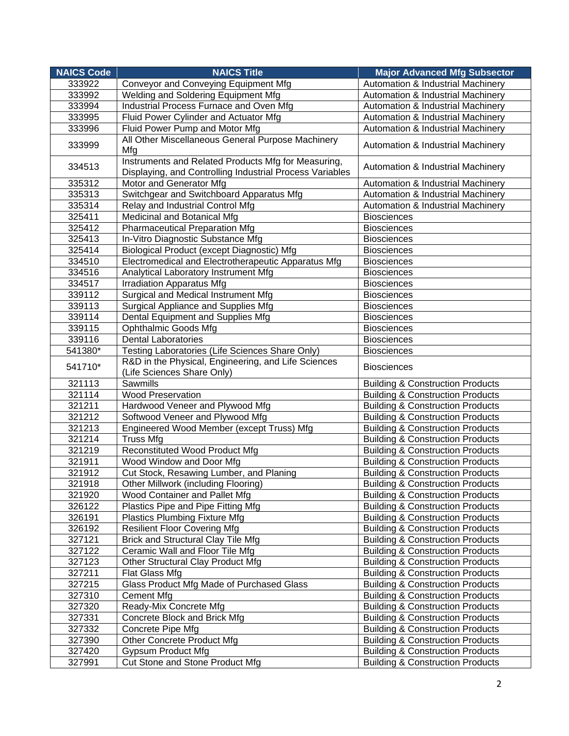| <b>NAICS Code</b> | <b>NAICS Title</b>                                                                                              | <b>Major Advanced Mfg Subsector</b>          |
|-------------------|-----------------------------------------------------------------------------------------------------------------|----------------------------------------------|
| 333922            | <b>Conveyor and Conveying Equipment Mfg</b>                                                                     | <b>Automation &amp; Industrial Machinery</b> |
| 333992            | Welding and Soldering Equipment Mfg                                                                             | Automation & Industrial Machinery            |
| 333994            | Industrial Process Furnace and Oven Mfg                                                                         | Automation & Industrial Machinery            |
| 333995            | Fluid Power Cylinder and Actuator Mfg                                                                           | Automation & Industrial Machinery            |
| 333996            | Fluid Power Pump and Motor Mfg                                                                                  | Automation & Industrial Machinery            |
| 333999            | All Other Miscellaneous General Purpose Machinery                                                               | Automation & Industrial Machinery            |
|                   | Mfg                                                                                                             |                                              |
| 334513            | Instruments and Related Products Mfg for Measuring,<br>Displaying, and Controlling Industrial Process Variables | Automation & Industrial Machinery            |
| 335312            | Motor and Generator Mfg                                                                                         | Automation & Industrial Machinery            |
| 335313            | Switchgear and Switchboard Apparatus Mfg                                                                        | Automation & Industrial Machinery            |
| 335314            | Relay and Industrial Control Mfg                                                                                | Automation & Industrial Machinery            |
| 325411            | Medicinal and Botanical Mfg                                                                                     | <b>Biosciences</b>                           |
| 325412            | <b>Pharmaceutical Preparation Mfg</b>                                                                           | <b>Biosciences</b>                           |
| 325413            | In-Vitro Diagnostic Substance Mfg                                                                               | <b>Biosciences</b>                           |
| 325414            | Biological Product (except Diagnostic) Mfg                                                                      | <b>Biosciences</b>                           |
| 334510            | Electromedical and Electrotherapeutic Apparatus Mfg                                                             | <b>Biosciences</b>                           |
| 334516            | Analytical Laboratory Instrument Mfg                                                                            | <b>Biosciences</b>                           |
| 334517            | <b>Irradiation Apparatus Mfg</b>                                                                                | <b>Biosciences</b>                           |
| 339112            | <b>Surgical and Medical Instrument Mfg</b>                                                                      | <b>Biosciences</b>                           |
| 339113            | Surgical Appliance and Supplies Mfg                                                                             | <b>Biosciences</b>                           |
| 339114            | Dental Equipment and Supplies Mfg                                                                               | <b>Biosciences</b>                           |
| 339115            | <b>Ophthalmic Goods Mfg</b>                                                                                     | <b>Biosciences</b>                           |
| 339116            | Dental Laboratories                                                                                             | <b>Biosciences</b>                           |
| 541380*           | Testing Laboratories (Life Sciences Share Only)                                                                 | <b>Biosciences</b>                           |
| 541710*           | R&D in the Physical, Engineering, and Life Sciences<br>(Life Sciences Share Only)                               | <b>Biosciences</b>                           |
| 321113            | Sawmills                                                                                                        | <b>Building &amp; Construction Products</b>  |
| 321114            | <b>Wood Preservation</b>                                                                                        | <b>Building &amp; Construction Products</b>  |
| 321211            | Hardwood Veneer and Plywood Mfg                                                                                 | <b>Building &amp; Construction Products</b>  |
| 321212            | Softwood Veneer and Plywood Mfg                                                                                 | <b>Building &amp; Construction Products</b>  |
| 321213            | Engineered Wood Member (except Truss) Mfg                                                                       | <b>Building &amp; Construction Products</b>  |
| 321214            | <b>Truss Mfg</b>                                                                                                | <b>Building &amp; Construction Products</b>  |
| 321219            | <b>Reconstituted Wood Product Mfg</b>                                                                           | <b>Building &amp; Construction Products</b>  |
| 321911            | Wood Window and Door Mfg                                                                                        | <b>Building &amp; Construction Products</b>  |
| 321912            | Cut Stock, Resawing Lumber, and Planing                                                                         | <b>Building &amp; Construction Products</b>  |
| 321918            | <b>Other Millwork (including Flooring)</b>                                                                      | <b>Building &amp; Construction Products</b>  |
| 321920            | Wood Container and Pallet Mfg                                                                                   | <b>Building &amp; Construction Products</b>  |
| 326122            | Plastics Pipe and Pipe Fitting Mfg                                                                              | <b>Building &amp; Construction Products</b>  |
| 326191            | <b>Plastics Plumbing Fixture Mfg</b>                                                                            | <b>Building &amp; Construction Products</b>  |
| 326192            | <b>Resilient Floor Covering Mfg</b>                                                                             | <b>Building &amp; Construction Products</b>  |
| 327121            | <b>Brick and Structural Clay Tile Mfg</b>                                                                       | <b>Building &amp; Construction Products</b>  |
| 327122            | Ceramic Wall and Floor Tile Mfg                                                                                 | <b>Building &amp; Construction Products</b>  |
| 327123            | Other Structural Clay Product Mfg                                                                               | <b>Building &amp; Construction Products</b>  |
| 327211            | Flat Glass Mfg                                                                                                  | <b>Building &amp; Construction Products</b>  |
| 327215            | Glass Product Mfg Made of Purchased Glass                                                                       | <b>Building &amp; Construction Products</b>  |
| 327310            | <b>Cement Mfg</b>                                                                                               | <b>Building &amp; Construction Products</b>  |
| 327320            | Ready-Mix Concrete Mfg                                                                                          | <b>Building &amp; Construction Products</b>  |
| 327331            | Concrete Block and Brick Mfg                                                                                    | <b>Building &amp; Construction Products</b>  |
| 327332            | Concrete Pipe Mfg                                                                                               | <b>Building &amp; Construction Products</b>  |
| 327390            | <b>Other Concrete Product Mfg</b>                                                                               | <b>Building &amp; Construction Products</b>  |
| 327420            | Gypsum Product Mfg                                                                                              | <b>Building &amp; Construction Products</b>  |
| 327991            | <b>Cut Stone and Stone Product Mfg</b>                                                                          | <b>Building &amp; Construction Products</b>  |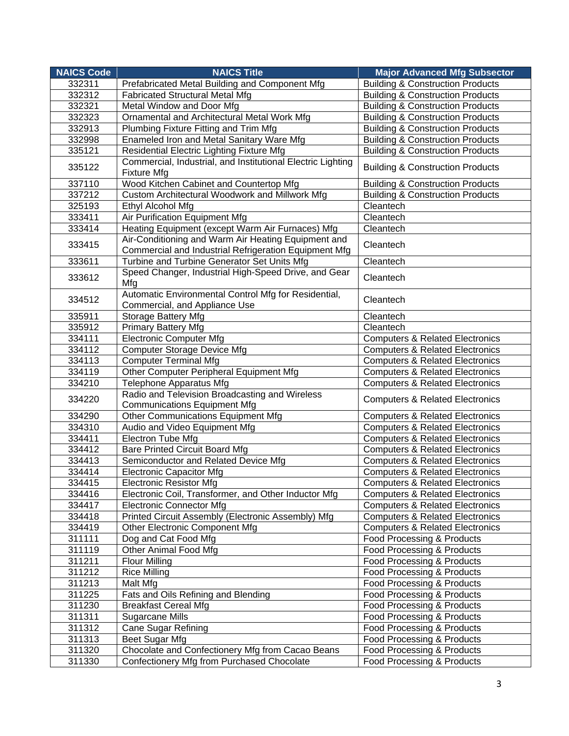| <b>NAICS Code</b> | <b>NAICS Title</b>                                                                    | <b>Major Advanced Mfg Subsector</b>         |
|-------------------|---------------------------------------------------------------------------------------|---------------------------------------------|
| 332311            | Prefabricated Metal Building and Component Mfg                                        | <b>Building &amp; Construction Products</b> |
| 332312            | <b>Fabricated Structural Metal Mfg</b>                                                | <b>Building &amp; Construction Products</b> |
| 332321            | Metal Window and Door Mfg                                                             | <b>Building &amp; Construction Products</b> |
| 332323            | Ornamental and Architectural Metal Work Mfg                                           | <b>Building &amp; Construction Products</b> |
| 332913            | Plumbing Fixture Fitting and Trim Mfg                                                 | <b>Building &amp; Construction Products</b> |
| 332998            | Enameled Iron and Metal Sanitary Ware Mfg                                             | <b>Building &amp; Construction Products</b> |
| 335121            | Residential Electric Lighting Fixture Mfg                                             | <b>Building &amp; Construction Products</b> |
| 335122            | Commercial, Industrial, and Institutional Electric Lighting<br><b>Fixture Mfg</b>     | <b>Building &amp; Construction Products</b> |
| 337110            | Wood Kitchen Cabinet and Countertop Mfg                                               | <b>Building &amp; Construction Products</b> |
| 337212            | Custom Architectural Woodwork and Millwork Mfg                                        | <b>Building &amp; Construction Products</b> |
| 325193            | Ethyl Alcohol Mfg                                                                     | Cleantech                                   |
| 333411            | Air Purification Equipment Mfg                                                        | Cleantech                                   |
| 333414            | Heating Equipment (except Warm Air Furnaces) Mfg                                      | Cleantech                                   |
| 333415            | Air-Conditioning and Warm Air Heating Equipment and                                   | Cleantech                                   |
|                   | Commercial and Industrial Refrigeration Equipment Mfg                                 |                                             |
| 333611            | Turbine and Turbine Generator Set Units Mfg                                           | Cleantech                                   |
| 333612            | Speed Changer, Industrial High-Speed Drive, and Gear<br>Mfg                           | Cleantech                                   |
| 334512            | Automatic Environmental Control Mfg for Residential,<br>Commercial, and Appliance Use | Cleantech                                   |
| 335911            | <b>Storage Battery Mfg</b>                                                            | Cleantech                                   |
| 335912            | <b>Primary Battery Mfg</b>                                                            | Cleantech                                   |
| 334111            | <b>Electronic Computer Mfg</b>                                                        | <b>Computers &amp; Related Electronics</b>  |
| 334112            | <b>Computer Storage Device Mfg</b>                                                    | <b>Computers &amp; Related Electronics</b>  |
| 334113            | <b>Computer Terminal Mfg</b>                                                          | <b>Computers &amp; Related Electronics</b>  |
| 334119            | Other Computer Peripheral Equipment Mfg                                               | <b>Computers &amp; Related Electronics</b>  |
| 334210            | Telephone Apparatus Mfg                                                               | <b>Computers &amp; Related Electronics</b>  |
| 334220            | Radio and Television Broadcasting and Wireless<br><b>Communications Equipment Mfg</b> | <b>Computers &amp; Related Electronics</b>  |
| 334290            | Other Communications Equipment Mfg                                                    | <b>Computers &amp; Related Electronics</b>  |
| 334310            | Audio and Video Equipment Mfg                                                         | <b>Computers &amp; Related Electronics</b>  |
| 334411            | Electron Tube Mfg                                                                     | <b>Computers &amp; Related Electronics</b>  |
| 334412            | <b>Bare Printed Circuit Board Mfg</b>                                                 | <b>Computers &amp; Related Electronics</b>  |
| 334413            | Semiconductor and Related Device Mfg                                                  | <b>Computers &amp; Related Electronics</b>  |
| 334414            | <b>Electronic Capacitor Mfg</b>                                                       | <b>Computers &amp; Related Electronics</b>  |
| 334415            | <b>Electronic Resistor Mfg</b>                                                        | <b>Computers &amp; Related Electronics</b>  |
| 334416            | Electronic Coil, Transformer, and Other Inductor Mfg                                  | <b>Computers &amp; Related Electronics</b>  |
| 334417            | <b>Electronic Connector Mfg</b>                                                       | <b>Computers &amp; Related Electronics</b>  |
| 334418            | Printed Circuit Assembly (Electronic Assembly) Mfg                                    | <b>Computers &amp; Related Electronics</b>  |
| 334419            | <b>Other Electronic Component Mfg</b>                                                 | <b>Computers &amp; Related Electronics</b>  |
| 311111            | Dog and Cat Food Mfg                                                                  | Food Processing & Products                  |
| 311119            | Other Animal Food Mfg                                                                 | Food Processing & Products                  |
| 311211            | <b>Flour Milling</b>                                                                  | Food Processing & Products                  |
| 311212            | <b>Rice Milling</b>                                                                   | Food Processing & Products                  |
| 311213            | Malt Mfg                                                                              | Food Processing & Products                  |
| 311225            | Fats and Oils Refining and Blending                                                   | Food Processing & Products                  |
| 311230            | <b>Breakfast Cereal Mfg</b>                                                           | Food Processing & Products                  |
| 311311            | Sugarcane Mills                                                                       | Food Processing & Products                  |
| 311312            | <b>Cane Sugar Refining</b>                                                            | Food Processing & Products                  |
| 311313            | Beet Sugar Mfg                                                                        | Food Processing & Products                  |
| 311320            | Chocolate and Confectionery Mfg from Cacao Beans                                      | Food Processing & Products                  |
| 311330            | Confectionery Mfg from Purchased Chocolate                                            | Food Processing & Products                  |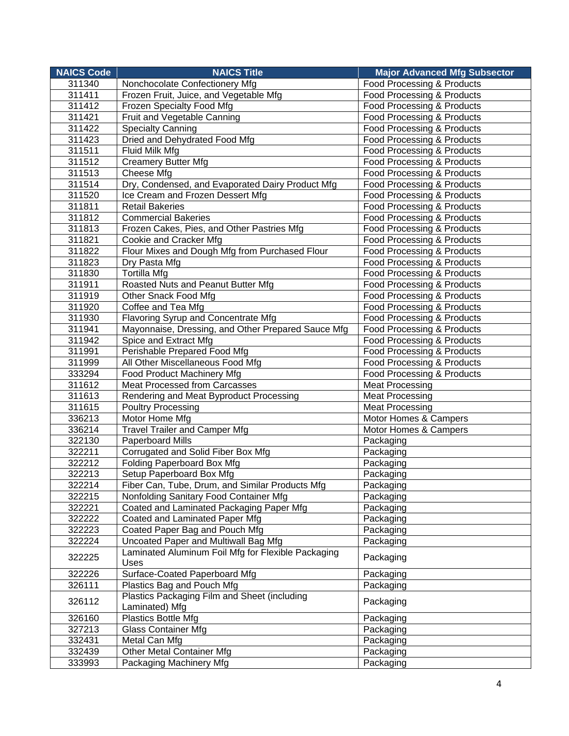| <b>NAICS Code</b> | <b>NAICS Title</b>                                         | <b>Major Advanced Mfg Subsector</b> |
|-------------------|------------------------------------------------------------|-------------------------------------|
| 311340            | Nonchocolate Confectionery Mfg                             | Food Processing & Products          |
| 311411            | Frozen Fruit, Juice, and Vegetable Mfg                     | Food Processing & Products          |
| 311412            | Frozen Specialty Food Mfg                                  | Food Processing & Products          |
| 311421            | Fruit and Vegetable Canning                                | Food Processing & Products          |
| 311422            | <b>Specialty Canning</b>                                   | Food Processing & Products          |
| 311423            | Dried and Dehydrated Food Mfg                              | Food Processing & Products          |
| 311511            | Fluid Milk Mfg                                             | Food Processing & Products          |
| 311512            | <b>Creamery Butter Mfg</b>                                 | Food Processing & Products          |
| 311513            | Cheese Mfg                                                 | Food Processing & Products          |
| 311514            | Dry, Condensed, and Evaporated Dairy Product Mfg           | Food Processing & Products          |
| 311520            | Ice Cream and Frozen Dessert Mfg                           | Food Processing & Products          |
| 311811            | <b>Retail Bakeries</b>                                     | Food Processing & Products          |
| 311812            | <b>Commercial Bakeries</b>                                 | Food Processing & Products          |
| 311813            | Frozen Cakes, Pies, and Other Pastries Mfg                 | Food Processing & Products          |
| 311821            | Cookie and Cracker Mfg                                     | Food Processing & Products          |
| 311822            | Flour Mixes and Dough Mfg from Purchased Flour             | Food Processing & Products          |
| 311823            | Dry Pasta Mfg                                              | Food Processing & Products          |
| 311830            | <b>Tortilla Mfg</b>                                        | Food Processing & Products          |
| 311911            | Roasted Nuts and Peanut Butter Mfg                         | Food Processing & Products          |
| 311919            | Other Snack Food Mfg                                       | Food Processing & Products          |
| 311920            | Coffee and Tea Mfg                                         | Food Processing & Products          |
| 311930            | Flavoring Syrup and Concentrate Mfg                        | Food Processing & Products          |
| 311941            | Mayonnaise, Dressing, and Other Prepared Sauce Mfg         | Food Processing & Products          |
| 311942            | Spice and Extract Mfg                                      | Food Processing & Products          |
| 311991            | Perishable Prepared Food Mfg                               | Food Processing & Products          |
| 311999            | All Other Miscellaneous Food Mfg                           | Food Processing & Products          |
| 333294            | Food Product Machinery Mfg                                 | Food Processing & Products          |
| 311612            | Meat Processed from Carcasses                              | <b>Meat Processing</b>              |
| 311613            | Rendering and Meat Byproduct Processing                    | <b>Meat Processing</b>              |
| 311615            | <b>Poultry Processing</b>                                  | <b>Meat Processing</b>              |
| 336213            | Motor Home Mfg                                             | Motor Homes & Campers               |
| 336214            | <b>Travel Trailer and Camper Mfg</b>                       | Motor Homes & Campers               |
| 322130            | Paperboard Mills                                           | Packaging                           |
| 322211            | Corrugated and Solid Fiber Box Mfg                         | Packaging                           |
| 322212            | Folding Paperboard Box Mfg                                 | Packaging                           |
| 322213            | Setup Paperboard Box Mfg                                   | Packaging                           |
| 322214            | Fiber Can, Tube, Drum, and Similar Products Mfg            | Packaging                           |
| 322215            | Nonfolding Sanitary Food Container Mfg                     | Packaging                           |
| 322221            | Coated and Laminated Packaging Paper Mfg                   | Packaging                           |
| 322222            | Coated and Laminated Paper Mfg                             | Packaging                           |
| 322223            | Coated Paper Bag and Pouch Mfg                             | Packaging                           |
| 322224            | Uncoated Paper and Multiwall Bag Mfg                       | Packaging                           |
| 322225            | Laminated Aluminum Foil Mfg for Flexible Packaging<br>Uses | Packaging                           |
| 322226            | Surface-Coated Paperboard Mfg                              | Packaging                           |
| 326111            | Plastics Bag and Pouch Mfg                                 | Packaging                           |
| 326112            | Plastics Packaging Film and Sheet (including               | Packaging                           |
|                   | Laminated) Mfg                                             |                                     |
| 326160            | <b>Plastics Bottle Mfg</b>                                 | Packaging                           |
| 327213            | <b>Glass Container Mfg</b>                                 | Packaging                           |
| 332431            | Metal Can Mfg                                              | Packaging                           |
| 332439            | Other Metal Container Mfg                                  | Packaging                           |
| 333993            | Packaging Machinery Mfg                                    | Packaging                           |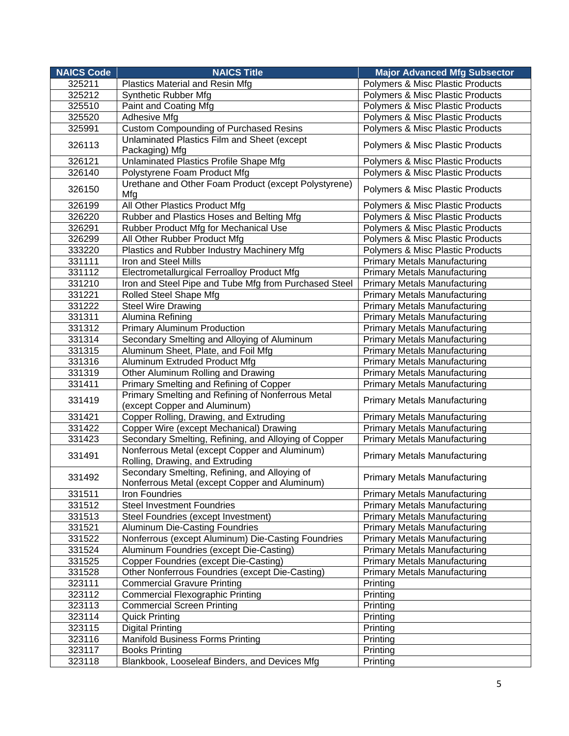| <b>NAICS Code</b> | <b>NAICS Title</b>                                                                             | <b>Major Advanced Mfg Subsector</b>         |
|-------------------|------------------------------------------------------------------------------------------------|---------------------------------------------|
| 325211            | Plastics Material and Resin Mfg                                                                | <b>Polymers &amp; Misc Plastic Products</b> |
| 325212            | <b>Synthetic Rubber Mfg</b>                                                                    | Polymers & Misc Plastic Products            |
| 325510            | Paint and Coating Mfg                                                                          | Polymers & Misc Plastic Products            |
| 325520            | Adhesive Mfg                                                                                   | Polymers & Misc Plastic Products            |
| 325991            | <b>Custom Compounding of Purchased Resins</b>                                                  | Polymers & Misc Plastic Products            |
| 326113            | Unlaminated Plastics Film and Sheet (except                                                    | Polymers & Misc Plastic Products            |
|                   | Packaging) Mfg                                                                                 |                                             |
| 326121            | Unlaminated Plastics Profile Shape Mfg                                                         | Polymers & Misc Plastic Products            |
| 326140            | Polystyrene Foam Product Mfg                                                                   | Polymers & Misc Plastic Products            |
| 326150            | Urethane and Other Foam Product (except Polystyrene)<br>Mfg                                    | Polymers & Misc Plastic Products            |
| 326199            | All Other Plastics Product Mfg                                                                 | Polymers & Misc Plastic Products            |
| 326220            | Rubber and Plastics Hoses and Belting Mfg                                                      | Polymers & Misc Plastic Products            |
| 326291            | Rubber Product Mfg for Mechanical Use                                                          | Polymers & Misc Plastic Products            |
| 326299            | All Other Rubber Product Mfg                                                                   | Polymers & Misc Plastic Products            |
| 333220            | Plastics and Rubber Industry Machinery Mfg                                                     | Polymers & Misc Plastic Products            |
| 331111            | Iron and Steel Mills                                                                           | <b>Primary Metals Manufacturing</b>         |
| 331112            | Electrometallurgical Ferroalloy Product Mfg                                                    | <b>Primary Metals Manufacturing</b>         |
| 331210            | Iron and Steel Pipe and Tube Mfg from Purchased Steel                                          | <b>Primary Metals Manufacturing</b>         |
| 331221            | Rolled Steel Shape Mfg                                                                         | <b>Primary Metals Manufacturing</b>         |
| 331222            | <b>Steel Wire Drawing</b>                                                                      | <b>Primary Metals Manufacturing</b>         |
| 331311            | Alumina Refining                                                                               | <b>Primary Metals Manufacturing</b>         |
| 331312            | <b>Primary Aluminum Production</b>                                                             | <b>Primary Metals Manufacturing</b>         |
| 331314            | Secondary Smelting and Alloying of Aluminum                                                    | <b>Primary Metals Manufacturing</b>         |
| 331315            | Aluminum Sheet, Plate, and Foil Mfg                                                            | <b>Primary Metals Manufacturing</b>         |
| 331316            | Aluminum Extruded Product Mfg                                                                  | <b>Primary Metals Manufacturing</b>         |
| 331319            | Other Aluminum Rolling and Drawing                                                             | <b>Primary Metals Manufacturing</b>         |
| 331411            | Primary Smelting and Refining of Copper                                                        | <b>Primary Metals Manufacturing</b>         |
| 331419            | Primary Smelting and Refining of Nonferrous Metal<br>(except Copper and Aluminum)              | <b>Primary Metals Manufacturing</b>         |
| 331421            | Copper Rolling, Drawing, and Extruding                                                         | <b>Primary Metals Manufacturing</b>         |
| 331422            | Copper Wire (except Mechanical) Drawing                                                        | <b>Primary Metals Manufacturing</b>         |
| 331423            | Secondary Smelting, Refining, and Alloying of Copper                                           | <b>Primary Metals Manufacturing</b>         |
| 331491            | Nonferrous Metal (except Copper and Aluminum)<br>Rolling, Drawing, and Extruding               | <b>Primary Metals Manufacturing</b>         |
| 331492            | Secondary Smelting, Refining, and Alloying of<br>Nonferrous Metal (except Copper and Aluminum) | <b>Primary Metals Manufacturing</b>         |
| 331511            | Iron Foundries                                                                                 | <b>Primary Metals Manufacturing</b>         |
| 331512            | <b>Steel Investment Foundries</b>                                                              | <b>Primary Metals Manufacturing</b>         |
| 331513            | Steel Foundries (except Investment)                                                            | <b>Primary Metals Manufacturing</b>         |
| 331521            | <b>Aluminum Die-Casting Foundries</b>                                                          | <b>Primary Metals Manufacturing</b>         |
| 331522            | Nonferrous (except Aluminum) Die-Casting Foundries                                             | <b>Primary Metals Manufacturing</b>         |
| 331524            | Aluminum Foundries (except Die-Casting)                                                        | <b>Primary Metals Manufacturing</b>         |
| 331525            | Copper Foundries (except Die-Casting)                                                          | <b>Primary Metals Manufacturing</b>         |
| 331528            | Other Nonferrous Foundries (except Die-Casting)                                                | <b>Primary Metals Manufacturing</b>         |
| 323111            | Commercial Gravure Printing                                                                    | Printing                                    |
| 323112            | <b>Commercial Flexographic Printing</b>                                                        | Printing                                    |
| 323113            | <b>Commercial Screen Printing</b>                                                              | Printing                                    |
| 323114            | <b>Quick Printing</b>                                                                          | Printing                                    |
| 323115            | <b>Digital Printing</b>                                                                        | Printing                                    |
| 323116            | <b>Manifold Business Forms Printing</b>                                                        | Printing                                    |
| 323117            | <b>Books Printing</b>                                                                          | Printing                                    |
| 323118            | Blankbook, Looseleaf Binders, and Devices Mfg                                                  | Printing                                    |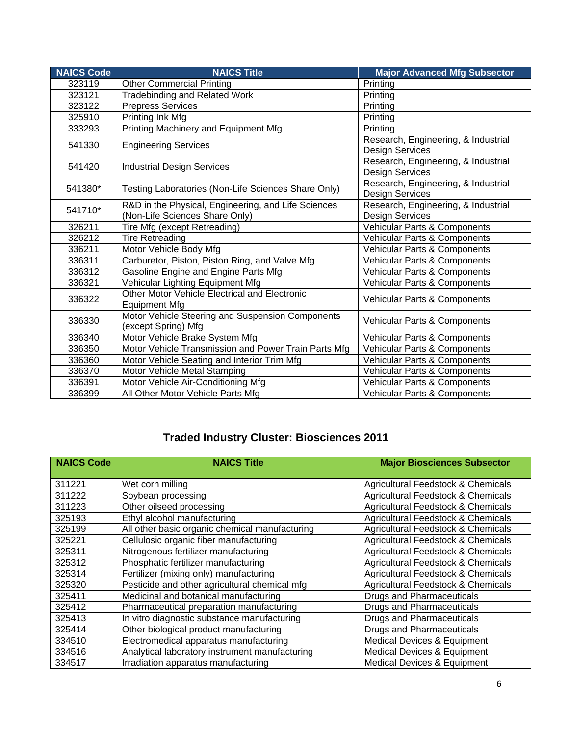| <b>NAICS Code</b> | <b>NAICS Title</b>                                                                    | <b>Major Advanced Mfg Subsector</b>                           |
|-------------------|---------------------------------------------------------------------------------------|---------------------------------------------------------------|
| 323119            | <b>Other Commercial Printing</b>                                                      | Printing                                                      |
| 323121            | <b>Tradebinding and Related Work</b>                                                  | Printing                                                      |
| 323122            | <b>Prepress Services</b>                                                              | Printing                                                      |
| 325910            | Printing Ink Mfg                                                                      | Printing                                                      |
| 333293            | Printing Machinery and Equipment Mfg                                                  | Printing                                                      |
| 541330            | <b>Engineering Services</b>                                                           | Research, Engineering, & Industrial<br><b>Design Services</b> |
| 541420            | <b>Industrial Design Services</b>                                                     | Research, Engineering, & Industrial<br>Design Services        |
| 541380*           | Testing Laboratories (Non-Life Sciences Share Only)                                   | Research, Engineering, & Industrial<br>Design Services        |
| 541710*           | R&D in the Physical, Engineering, and Life Sciences<br>(Non-Life Sciences Share Only) | Research, Engineering, & Industrial<br>Design Services        |
| 326211            | Tire Mfg (except Retreading)                                                          | Vehicular Parts & Components                                  |
| 326212            | <b>Tire Retreading</b>                                                                | Vehicular Parts & Components                                  |
| 336211            | Motor Vehicle Body Mfg                                                                | Vehicular Parts & Components                                  |
| 336311            | Carburetor, Piston, Piston Ring, and Valve Mfg                                        | <b>Vehicular Parts &amp; Components</b>                       |
| 336312            | Gasoline Engine and Engine Parts Mfg                                                  | Vehicular Parts & Components                                  |
| 336321            | Vehicular Lighting Equipment Mfg                                                      | Vehicular Parts & Components                                  |
| 336322            | Other Motor Vehicle Electrical and Electronic<br><b>Equipment Mfg</b>                 | Vehicular Parts & Components                                  |
| 336330            | Motor Vehicle Steering and Suspension Components<br>(except Spring) Mfg               | Vehicular Parts & Components                                  |
| 336340            | Motor Vehicle Brake System Mfg                                                        | Vehicular Parts & Components                                  |
| 336350            | Motor Vehicle Transmission and Power Train Parts Mfg                                  | <b>Vehicular Parts &amp; Components</b>                       |
| 336360            | Motor Vehicle Seating and Interior Trim Mfg                                           | Vehicular Parts & Components                                  |
| 336370            | Motor Vehicle Metal Stamping                                                          | Vehicular Parts & Components                                  |
| 336391            | Motor Vehicle Air-Conditioning Mfg                                                    | Vehicular Parts & Components                                  |
| 336399            | All Other Motor Vehicle Parts Mfg                                                     | <b>Vehicular Parts &amp; Components</b>                       |

## **Traded Industry Cluster: Biosciences 2011**

| <b>NAICS Code</b> | <b>NAICS Title</b>                             | <b>Major Biosciences Subsector</b>            |
|-------------------|------------------------------------------------|-----------------------------------------------|
| 311221            | Wet corn milling                               | <b>Agricultural Feedstock &amp; Chemicals</b> |
| 311222            | Soybean processing                             | <b>Agricultural Feedstock &amp; Chemicals</b> |
| 311223            | Other oilseed processing                       | <b>Agricultural Feedstock &amp; Chemicals</b> |
| 325193            | Ethyl alcohol manufacturing                    | <b>Agricultural Feedstock &amp; Chemicals</b> |
| 325199            | All other basic organic chemical manufacturing | <b>Agricultural Feedstock &amp; Chemicals</b> |
| 325221            | Cellulosic organic fiber manufacturing         | <b>Agricultural Feedstock &amp; Chemicals</b> |
| 325311            | Nitrogenous fertilizer manufacturing           | Agricultural Feedstock & Chemicals            |
| 325312            | Phosphatic fertilizer manufacturing            | <b>Agricultural Feedstock &amp; Chemicals</b> |
| 325314            | Fertilizer (mixing only) manufacturing         | Agricultural Feedstock & Chemicals            |
| 325320            | Pesticide and other agricultural chemical mfg  | Agricultural Feedstock & Chemicals            |
| 325411            | Medicinal and botanical manufacturing          | <b>Drugs and Pharmaceuticals</b>              |
| 325412            | Pharmaceutical preparation manufacturing       | <b>Drugs and Pharmaceuticals</b>              |
| 325413            | In vitro diagnostic substance manufacturing    | <b>Drugs and Pharmaceuticals</b>              |
| 325414            | Other biological product manufacturing         | <b>Drugs and Pharmaceuticals</b>              |
| 334510            | Electromedical apparatus manufacturing         | <b>Medical Devices &amp; Equipment</b>        |
| 334516            | Analytical laboratory instrument manufacturing | Medical Devices & Equipment                   |
| 334517            | Irradiation apparatus manufacturing            | <b>Medical Devices &amp; Equipment</b>        |